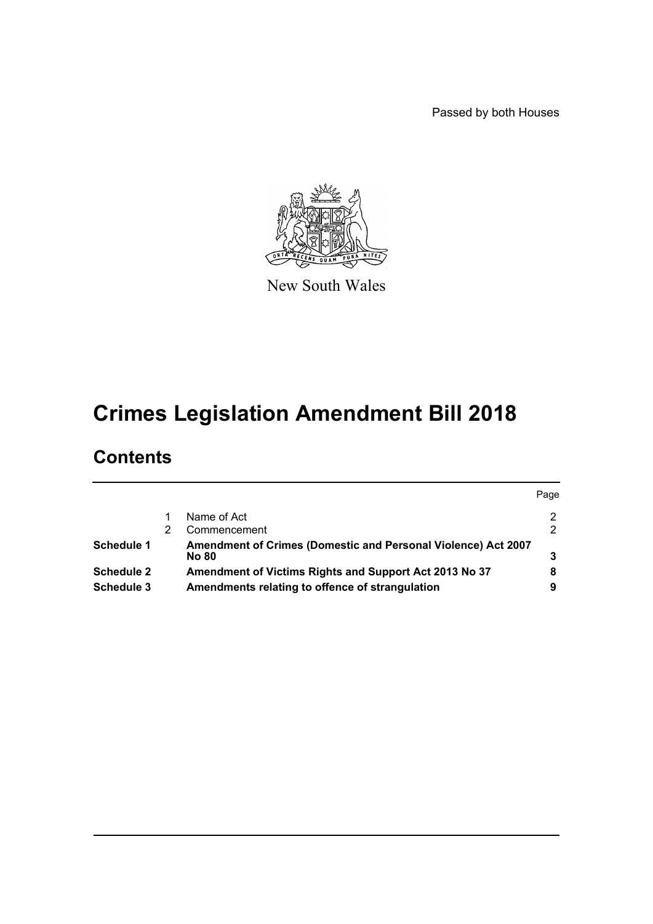Passed by both Houses



New South Wales

# **Crimes Legislation Amendment Bill 2018**

## **Contents**

|                   |                                                               | Page |
|-------------------|---------------------------------------------------------------|------|
|                   | Name of Act                                                   |      |
|                   | Commencement                                                  |      |
| Schedule 1        | Amendment of Crimes (Domestic and Personal Violence) Act 2007 |      |
|                   | <b>No 80</b>                                                  |      |
| <b>Schedule 2</b> | Amendment of Victims Rights and Support Act 2013 No 37        |      |
| Schedule 3        | Amendments relating to offence of strangulation               |      |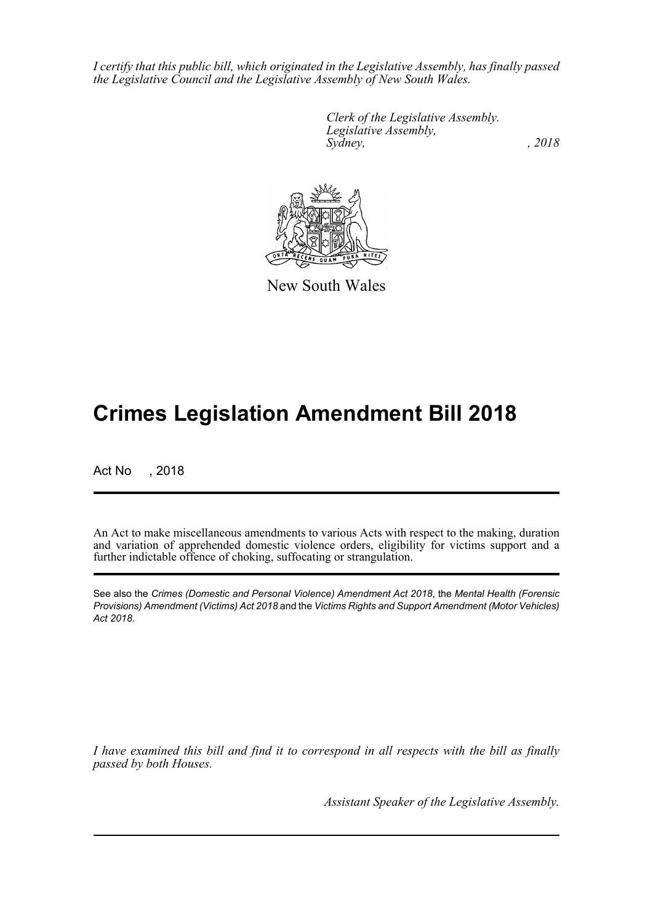*I certify that this public bill, which originated in the Legislative Assembly, has finally passed the Legislative Council and the Legislative Assembly of New South Wales.*

> *Clerk of the Legislative Assembly. Legislative Assembly, Sydney, , 2018*



New South Wales

# **Crimes Legislation Amendment Bill 2018**

Act No , 2018

An Act to make miscellaneous amendments to various Acts with respect to the making, duration and variation of apprehended domestic violence orders, eligibility for victims support and a further indictable offence of choking, suffocating or strangulation.

See also the *Crimes (Domestic and Personal Violence) Amendment Act 2018*, the *Mental Health (Forensic Provisions) Amendment (Victims) Act 2018* and the *Victims Rights and Support Amendment (Motor Vehicles) Act 2018*.

*I have examined this bill and find it to correspond in all respects with the bill as finally passed by both Houses.*

*Assistant Speaker of the Legislative Assembly.*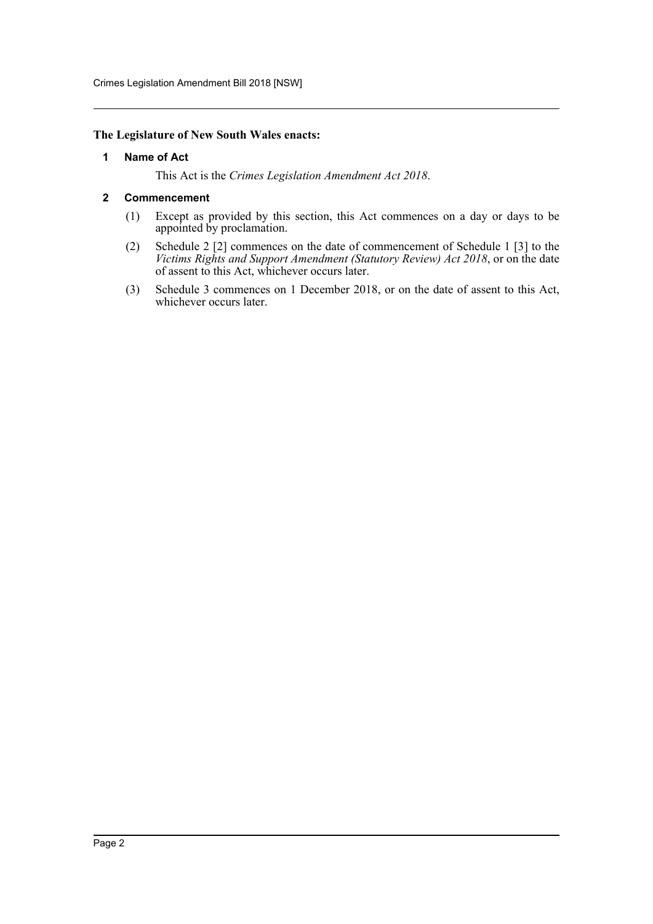#### <span id="page-2-0"></span>**The Legislature of New South Wales enacts:**

#### **1 Name of Act**

This Act is the *Crimes Legislation Amendment Act 2018*.

#### <span id="page-2-1"></span>**2 Commencement**

- (1) Except as provided by this section, this Act commences on a day or days to be appointed by proclamation.
- (2) Schedule 2 [2] commences on the date of commencement of Schedule 1 [3] to the *Victims Rights and Support Amendment (Statutory Review) Act 2018*, or on the date of assent to this Act, whichever occurs later.
- (3) Schedule 3 commences on 1 December 2018, or on the date of assent to this Act, whichever occurs later.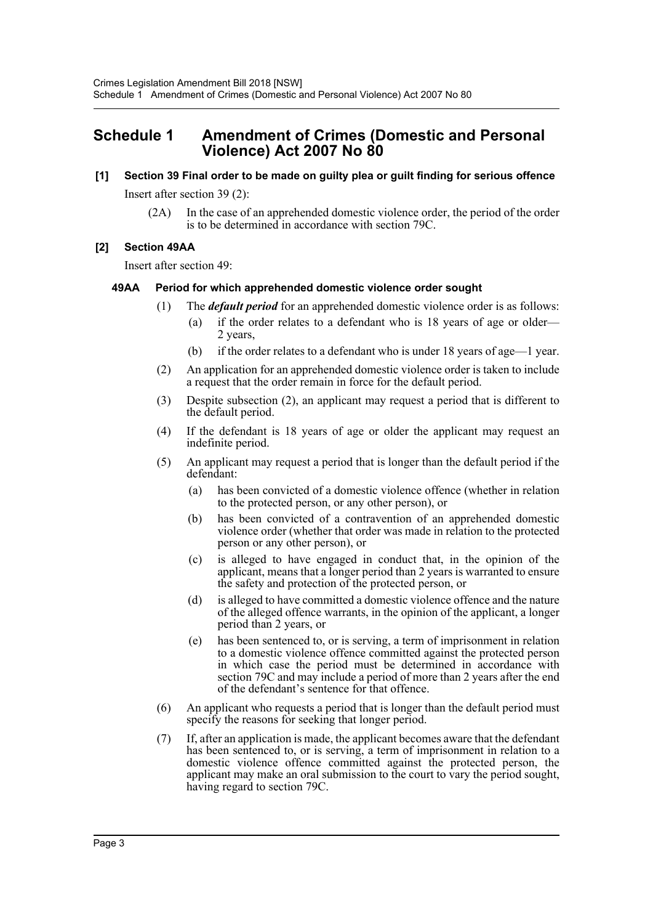## <span id="page-3-0"></span>**Schedule 1 Amendment of Crimes (Domestic and Personal Violence) Act 2007 No 80**

#### **[1] Section 39 Final order to be made on guilty plea or guilt finding for serious offence**

Insert after section 39 (2):

(2A) In the case of an apprehended domestic violence order, the period of the order is to be determined in accordance with section 79C.

#### **[2] Section 49AA**

Insert after section 49:

#### **49AA Period for which apprehended domestic violence order sought**

- (1) The *default period* for an apprehended domestic violence order is as follows:
	- (a) if the order relates to a defendant who is 18 years of age or older— 2 years,
	- (b) if the order relates to a defendant who is under 18 years of age—1 year.
- (2) An application for an apprehended domestic violence order is taken to include a request that the order remain in force for the default period.
- (3) Despite subsection (2), an applicant may request a period that is different to the default period.
- (4) If the defendant is 18 years of age or older the applicant may request an indefinite period.
- (5) An applicant may request a period that is longer than the default period if the defendant:
	- (a) has been convicted of a domestic violence offence (whether in relation to the protected person, or any other person), or
	- (b) has been convicted of a contravention of an apprehended domestic violence order (whether that order was made in relation to the protected person or any other person), or
	- (c) is alleged to have engaged in conduct that, in the opinion of the applicant, means that a longer period than 2 years is warranted to ensure the safety and protection of the protected person, or
	- (d) is alleged to have committed a domestic violence offence and the nature of the alleged offence warrants, in the opinion of the applicant, a longer period than 2 years, or
	- (e) has been sentenced to, or is serving, a term of imprisonment in relation to a domestic violence offence committed against the protected person in which case the period must be determined in accordance with section 79C and may include a period of more than 2 years after the end of the defendant's sentence for that offence.
- (6) An applicant who requests a period that is longer than the default period must specify the reasons for seeking that longer period.
- (7) If, after an application is made, the applicant becomes aware that the defendant has been sentenced to, or is serving, a term of imprisonment in relation to a domestic violence offence committed against the protected person, the applicant may make an oral submission to the court to vary the period sought, having regard to section 79C.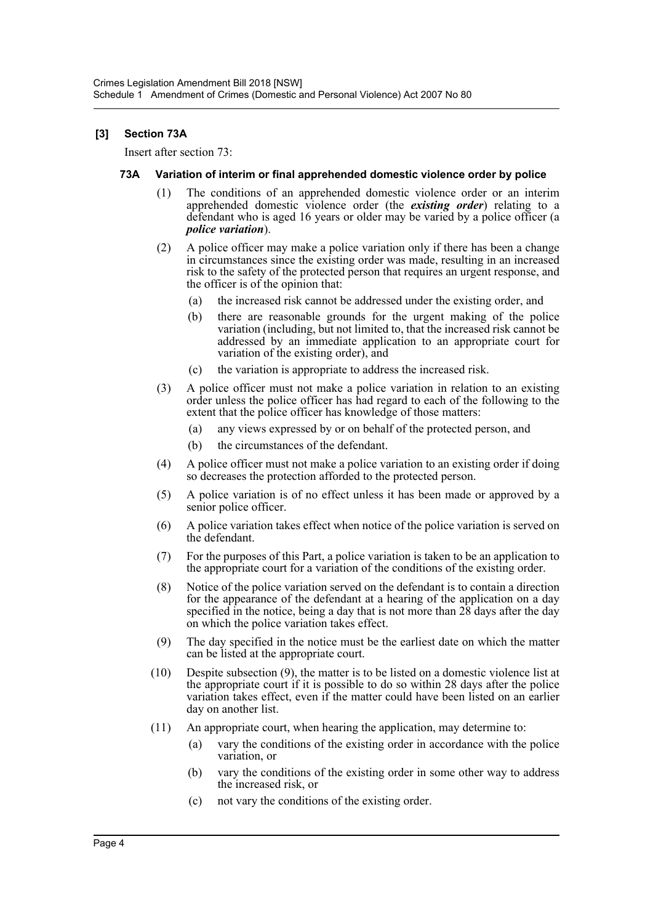#### **[3] Section 73A**

Insert after section 73:

#### **73A Variation of interim or final apprehended domestic violence order by police**

- (1) The conditions of an apprehended domestic violence order or an interim apprehended domestic violence order (the *existing order*) relating to a defendant who is aged 16 years or older may be varied by a police officer (a *police variation*).
- (2) A police officer may make a police variation only if there has been a change in circumstances since the existing order was made, resulting in an increased risk to the safety of the protected person that requires an urgent response, and the officer is of the opinion that:
	- (a) the increased risk cannot be addressed under the existing order, and
	- (b) there are reasonable grounds for the urgent making of the police variation (including, but not limited to, that the increased risk cannot be addressed by an immediate application to an appropriate court for variation of the existing order), and
	- (c) the variation is appropriate to address the increased risk.
- (3) A police officer must not make a police variation in relation to an existing order unless the police officer has had regard to each of the following to the extent that the police officer has knowledge of those matters:
	- (a) any views expressed by or on behalf of the protected person, and
	- (b) the circumstances of the defendant.
- (4) A police officer must not make a police variation to an existing order if doing so decreases the protection afforded to the protected person.
- (5) A police variation is of no effect unless it has been made or approved by a senior police officer.
- (6) A police variation takes effect when notice of the police variation is served on the defendant.
- (7) For the purposes of this Part, a police variation is taken to be an application to the appropriate court for a variation of the conditions of the existing order.
- (8) Notice of the police variation served on the defendant is to contain a direction for the appearance of the defendant at a hearing of the application on a day specified in the notice, being a day that is not more than  $28$  days after the day on which the police variation takes effect.
- (9) The day specified in the notice must be the earliest date on which the matter can be listed at the appropriate court.
- (10) Despite subsection (9), the matter is to be listed on a domestic violence list at the appropriate court if it is possible to do so within 28 days after the police variation takes effect, even if the matter could have been listed on an earlier day on another list.
- (11) An appropriate court, when hearing the application, may determine to:
	- (a) vary the conditions of the existing order in accordance with the police variation, or
	- (b) vary the conditions of the existing order in some other way to address the increased risk, or
	- (c) not vary the conditions of the existing order.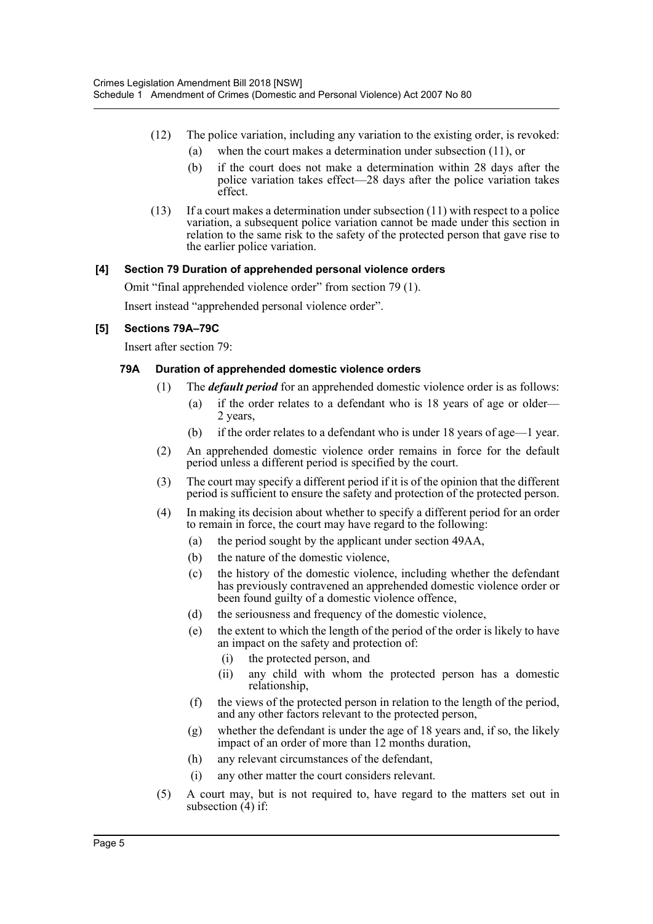- (12) The police variation, including any variation to the existing order, is revoked: (a) when the court makes a determination under subsection (11), or
	- (b) if the court does not make a determination within 28 days after the police variation takes effect—28 days after the police variation takes effect.
- (13) If a court makes a determination under subsection (11) with respect to a police variation, a subsequent police variation cannot be made under this section in relation to the same risk to the safety of the protected person that gave rise to the earlier police variation.

#### **[4] Section 79 Duration of apprehended personal violence orders**

Omit "final apprehended violence order" from section 79 (1).

Insert instead "apprehended personal violence order".

#### **[5] Sections 79A–79C**

Insert after section 79:

#### **79A Duration of apprehended domestic violence orders**

- (1) The *default period* for an apprehended domestic violence order is as follows:
	- (a) if the order relates to a defendant who is 18 years of age or older— 2 years,
	- (b) if the order relates to a defendant who is under 18 years of age—1 year.
- (2) An apprehended domestic violence order remains in force for the default period unless a different period is specified by the court.
- (3) The court may specify a different period if it is of the opinion that the different period is sufficient to ensure the safety and protection of the protected person.
- (4) In making its decision about whether to specify a different period for an order to remain in force, the court may have regard to the following:
	- (a) the period sought by the applicant under section 49AA,
	- (b) the nature of the domestic violence,
	- (c) the history of the domestic violence, including whether the defendant has previously contravened an apprehended domestic violence order or been found guilty of a domestic violence offence,
	- (d) the seriousness and frequency of the domestic violence,
	- (e) the extent to which the length of the period of the order is likely to have an impact on the safety and protection of:
		- (i) the protected person, and
		- (ii) any child with whom the protected person has a domestic relationship,
	- (f) the views of the protected person in relation to the length of the period, and any other factors relevant to the protected person,
	- (g) whether the defendant is under the age of 18 years and, if so, the likely impact of an order of more than 12 months duration,
	- (h) any relevant circumstances of the defendant,
	- (i) any other matter the court considers relevant.
- (5) A court may, but is not required to, have regard to the matters set out in subsection (4) if: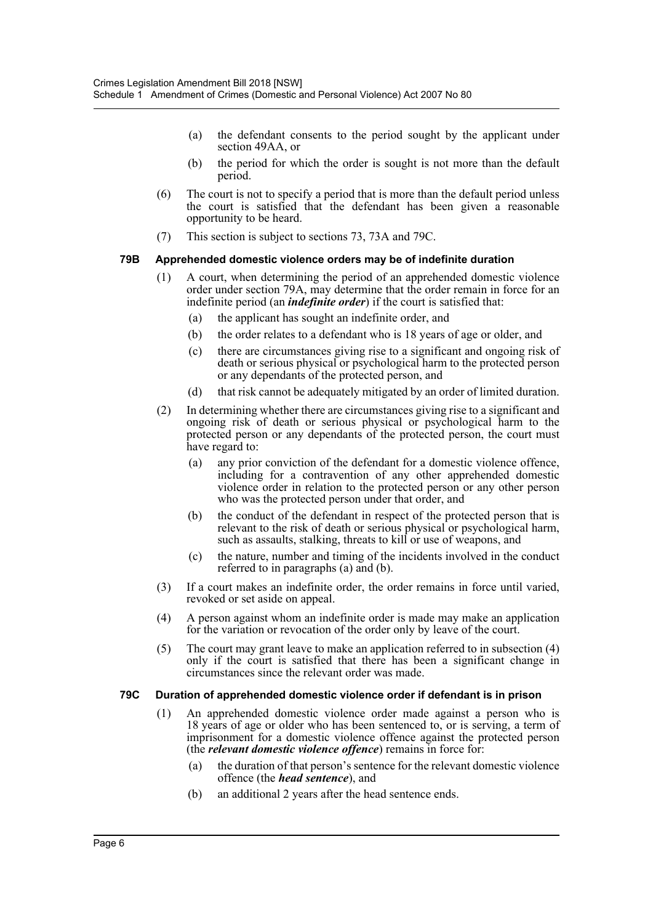- (a) the defendant consents to the period sought by the applicant under section 49AA, or
- (b) the period for which the order is sought is not more than the default period.
- (6) The court is not to specify a period that is more than the default period unless the court is satisfied that the defendant has been given a reasonable opportunity to be heard.
- (7) This section is subject to sections 73, 73A and 79C.

#### **79B Apprehended domestic violence orders may be of indefinite duration**

- (1) A court, when determining the period of an apprehended domestic violence order under section 79A, may determine that the order remain in force for an indefinite period (an *indefinite order*) if the court is satisfied that:
	- (a) the applicant has sought an indefinite order, and
	- (b) the order relates to a defendant who is 18 years of age or older, and
	- (c) there are circumstances giving rise to a significant and ongoing risk of death or serious physical or psychological harm to the protected person or any dependants of the protected person, and
	- (d) that risk cannot be adequately mitigated by an order of limited duration.
- (2) In determining whether there are circumstances giving rise to a significant and ongoing risk of death or serious physical or psychological harm to the protected person or any dependants of the protected person, the court must have regard to:
	- (a) any prior conviction of the defendant for a domestic violence offence, including for a contravention of any other apprehended domestic violence order in relation to the protected person or any other person who was the protected person under that order, and
	- (b) the conduct of the defendant in respect of the protected person that is relevant to the risk of death or serious physical or psychological harm, such as assaults, stalking, threats to kill or use of weapons, and
	- (c) the nature, number and timing of the incidents involved in the conduct referred to in paragraphs (a) and (b).
- (3) If a court makes an indefinite order, the order remains in force until varied, revoked or set aside on appeal.
- (4) A person against whom an indefinite order is made may make an application for the variation or revocation of the order only by leave of the court.
- (5) The court may grant leave to make an application referred to in subsection (4) only if the court is satisfied that there has been a significant change in circumstances since the relevant order was made.

#### **79C Duration of apprehended domestic violence order if defendant is in prison**

- (1) An apprehended domestic violence order made against a person who is 18 years of age or older who has been sentenced to, or is serving, a term of imprisonment for a domestic violence offence against the protected person (the *relevant domestic violence offence*) remains in force for:
	- (a) the duration of that person's sentence for the relevant domestic violence offence (the *head sentence*), and
	- (b) an additional 2 years after the head sentence ends.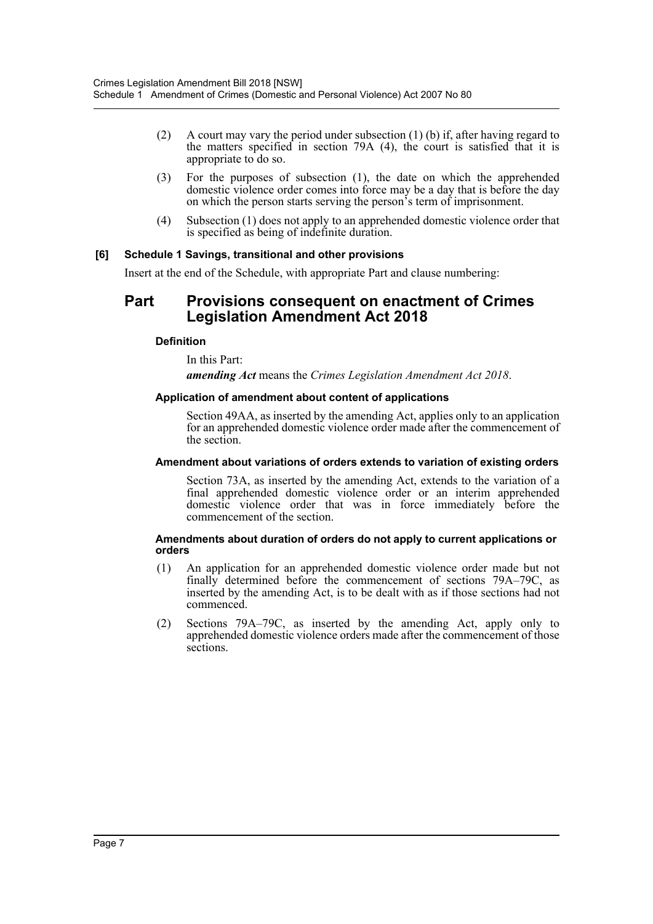- (2) A court may vary the period under subsection (1) (b) if, after having regard to the matters specified in section 79A (4), the court is satisfied that it is appropriate to do so.
- (3) For the purposes of subsection (1), the date on which the apprehended domestic violence order comes into force may be a day that is before the day on which the person starts serving the person's term of imprisonment.
- (4) Subsection (1) does not apply to an apprehended domestic violence order that is specified as being of indefinite duration.

#### **[6] Schedule 1 Savings, transitional and other provisions**

Insert at the end of the Schedule, with appropriate Part and clause numbering:

## **Part Provisions consequent on enactment of Crimes Legislation Amendment Act 2018**

#### **Definition**

In this Part: *amending Act* means the *Crimes Legislation Amendment Act 2018*.

#### **Application of amendment about content of applications**

Section 49AA, as inserted by the amending Act, applies only to an application for an apprehended domestic violence order made after the commencement of the section.

#### **Amendment about variations of orders extends to variation of existing orders**

Section 73A, as inserted by the amending Act, extends to the variation of a final apprehended domestic violence order or an interim apprehended domestic violence order that was in force immediately before the commencement of the section.

#### **Amendments about duration of orders do not apply to current applications or orders**

- (1) An application for an apprehended domestic violence order made but not finally determined before the commencement of sections 79A–79C, as inserted by the amending Act, is to be dealt with as if those sections had not commenced.
- (2) Sections 79A–79C, as inserted by the amending Act, apply only to apprehended domestic violence orders made after the commencement of those sections.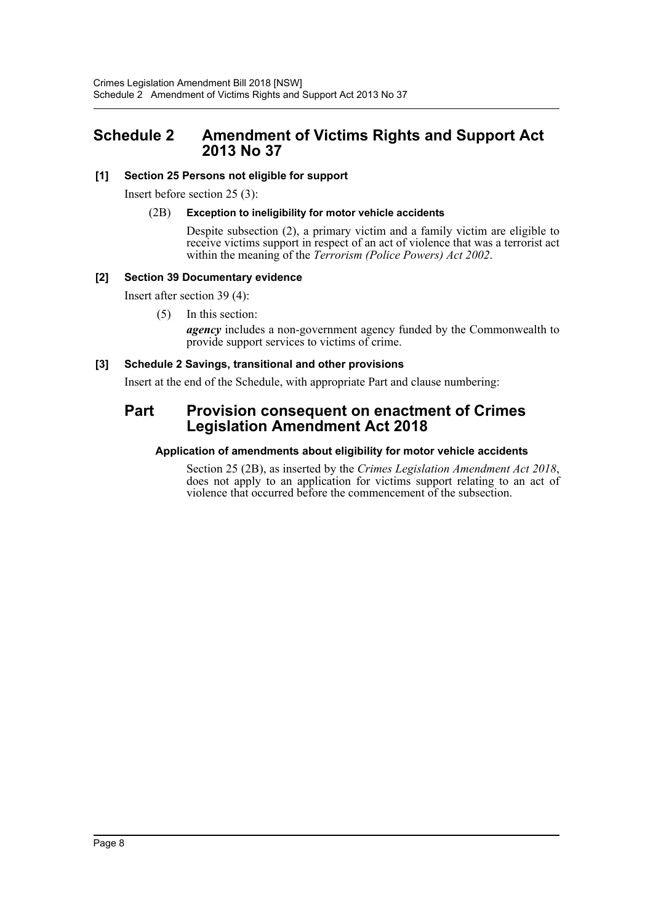## <span id="page-8-0"></span>**Schedule 2 Amendment of Victims Rights and Support Act 2013 No 37**

#### **[1] Section 25 Persons not eligible for support**

Insert before section 25 (3):

#### (2B) **Exception to ineligibility for motor vehicle accidents**

Despite subsection (2), a primary victim and a family victim are eligible to receive victims support in respect of an act of violence that was a terrorist act within the meaning of the *Terrorism (Police Powers) Act 2002*.

#### **[2] Section 39 Documentary evidence**

Insert after section 39 (4):

(5) In this section:

*agency* includes a non-government agency funded by the Commonwealth to provide support services to victims of crime.

#### **[3] Schedule 2 Savings, transitional and other provisions**

Insert at the end of the Schedule, with appropriate Part and clause numbering:

## **Part Provision consequent on enactment of Crimes Legislation Amendment Act 2018**

#### **Application of amendments about eligibility for motor vehicle accidents**

Section 25 (2B), as inserted by the *Crimes Legislation Amendment Act 2018*, does not apply to an application for victims support relating to an act of violence that occurred before the commencement of the subsection.